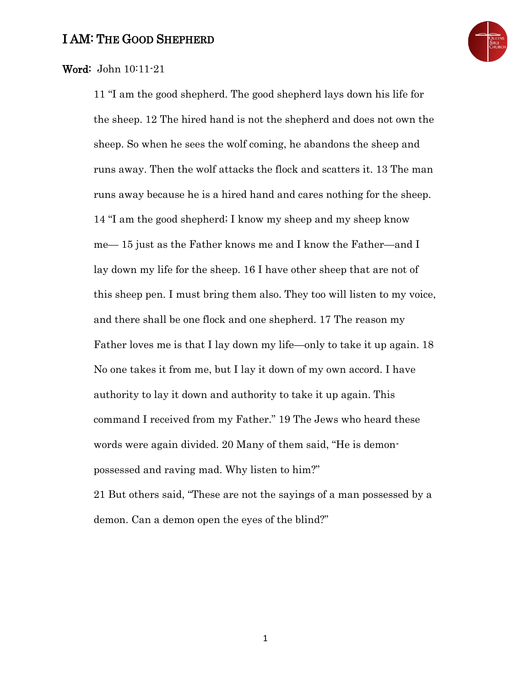

## Word: John 10:11-21

11 "I am the good shepherd. The good shepherd lays down his life for the sheep. 12 The hired hand is not the shepherd and does not own the sheep. So when he sees the wolf coming, he abandons the sheep and runs away. Then the wolf attacks the flock and scatters it. 13 The man runs away because he is a hired hand and cares nothing for the sheep. 14 "I am the good shepherd; I know my sheep and my sheep know me— 15 just as the Father knows me and I know the Father—and I lay down my life for the sheep. 16 I have other sheep that are not of this sheep pen. I must bring them also. They too will listen to my voice, and there shall be one flock and one shepherd. 17 The reason my Father loves me is that I lay down my life—only to take it up again. 18 No one takes it from me, but I lay it down of my own accord. I have authority to lay it down and authority to take it up again. This command I received from my Father." 19 The Jews who heard these words were again divided. 20 Many of them said, "He is demonpossessed and raving mad. Why listen to him?"

21 But others said, "These are not the sayings of a man possessed by a demon. Can a demon open the eyes of the blind?"